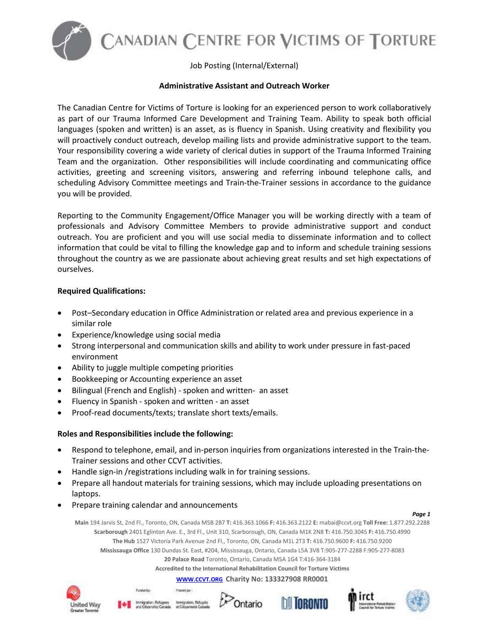

ANADIAN CENTRE FOR VICTIMS OF TORTURE

Job Posting (Internal/External)

## **Administrative Assistant and Outreach Worker**

The Canadian Centre for Victims of Torture is looking for an experienced person to work collaboratively as part of our Trauma Informed Care Development and Training Team. Ability to speak both official languages (spoken and written) is an asset, as is fluency in Spanish. Using creativity and flexibility you will proactively conduct outreach, develop mailing lists and provide administrative support to the team. Your responsibility covering a wide variety of clerical duties in support of the Trauma Informed Training Team and the organization. Other responsibilities will include coordinating and communicating office activities, greeting and screening visitors, answering and referring inbound telephone calls, and scheduling Advisory Committee meetings and Train-the-Trainer sessions in accordance to the guidance you will be provided.

Reporting to the Community Engagement/Office Manager you will be working directly with a team of professionals and Advisory Committee Members to provide administrative support and conduct outreach. You are proficient and you will use social media to disseminate information and to collect information that could be vital to filling the knowledge gap and to inform and schedule training sessions throughout the country as we are passionate about achieving great results and set high expectations of ourselves.

### **Required Qualifications:**

- Post–Secondary education in Office Administration or related area and previous experience in a similar role
- Experience/knowledge using social media
- Strong interpersonal and communication skills and ability to work under pressure in fast-paced environment
- Ability to juggle multiple competing priorities
- Bookkeeping or Accounting experience an asset
- Bilingual (French and English) spoken and written- an asset
- Fluency in Spanish spoken and written an asset
- Proof-read documents/texts; translate short texts/emails.

# **Roles and Responsibilities include the following:**

- Respond to telephone, email, and in-person inquiries from organizations interested in the Train-the-Trainer sessions and other CCVT activities.
- Handle sign-in /registrations including walk in for training sessions.

Franklipe:

- Prepare all handout materials for training sessions, which may include uploading presentations on laptops.
- Prepare training calendar and announcements

#### *Page 1*

**Main** 194 Jarvis St, 2nd Fl., Toronto, ON, Canada M5B 2B7 **T:** 416.363.1066 **F:** 416.363.2122 **E:** mabai@ccvt.org **Toll Free:** 1.877.292.2288 **Scarborough** 2401 Eglinton Ave. E., 3rd Fl., Unit 310, Scarborough, ON, Canada M1K 2N8 **T:** 416.750.3045 **F:** 416.750.4990 **The Hub** 1527 Victoria Park Avenue 2nd Fl., Toronto, ON, Canada M1L 2T3 **T:** 416.750.9600 **F:** 416.750.9200 **Mississauga Office** 130 Dundas St. East, #204, Mississauga, Ontario, Canada L5A 3V8 T:905-277-2288 F:905-277-8083 **20 Palace Road** Toronto, Ontario, Canada M5A 1G4 T:416-364-3184

**Accredited to the International Rehabilitation Council for Torture Victims**

**[WWW.CCVT.ORG](http://www.ccvt.org/) Charity No: 133327908 RR0001**





Funded by